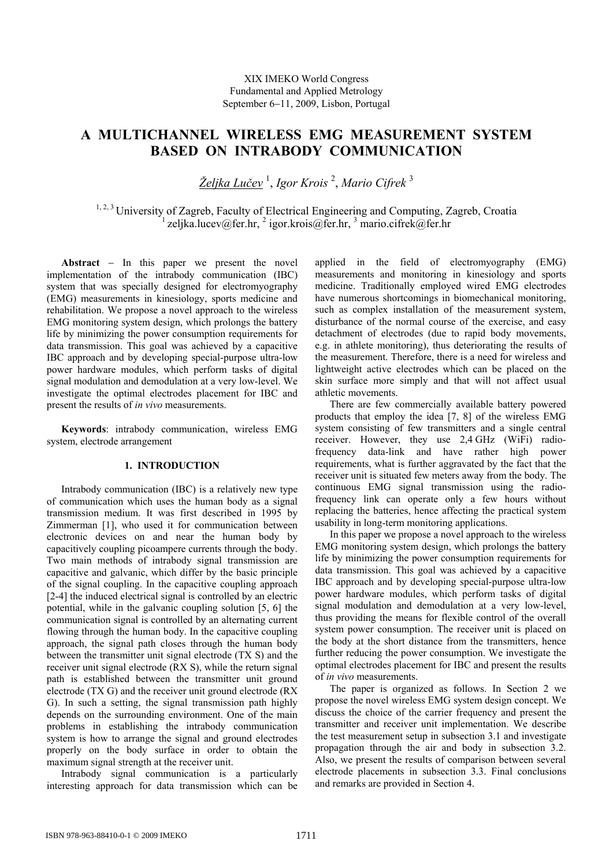# **A MULTICHANNEL WIRELESS EMG MEASUREMENT SYSTEM BASED ON INTRABODY COMMUNICATION**

*Željka Lučev* 1 , *Igor Krois* <sup>2</sup> , *Mario Cifrek* <sup>3</sup>

<sup>1, 2, 3</sup> University of Zagreb, Faculty of Electrical Engineering and Computing, Zagreb, Croatia  $^{1}$ zeljka.lucev@fer.hr,  $^{2}$  igor.krois@fer.hr,  $^{3}$  mario.cifrek@fer.hr

**Abstract** − In this paper we present the novel implementation of the intrabody communication (IBC) system that was specially designed for electromyography (EMG) measurements in kinesiology, sports medicine and rehabilitation. We propose a novel approach to the wireless EMG monitoring system design, which prolongs the battery life by minimizing the power consumption requirements for data transmission. This goal was achieved by a capacitive IBC approach and by developing special-purpose ultra-low power hardware modules, which perform tasks of digital signal modulation and demodulation at a very low-level. We investigate the optimal electrodes placement for IBC and present the results of *in vivo* measurements.

**Keywords**: intrabody communication, wireless EMG system, electrode arrangement

# **1. INTRODUCTION**

Intrabody communication (IBC) is a relatively new type of communication which uses the human body as a signal transmission medium. It was first described in 1995 by Zimmerman [1], who used it for communication between electronic devices on and near the human body by capacitively coupling picoampere currents through the body. Two main methods of intrabody signal transmission are capacitive and galvanic, which differ by the basic principle of the signal coupling. In the capacitive coupling approach [2-4] the induced electrical signal is controlled by an electric potential, while in the galvanic coupling solution [5, 6] the communication signal is controlled by an alternating current flowing through the human body. In the capacitive coupling approach, the signal path closes through the human body between the transmitter unit signal electrode (TX S) and the receiver unit signal electrode (RX S), while the return signal path is established between the transmitter unit ground electrode (TX G) and the receiver unit ground electrode (RX G). In such a setting, the signal transmission path highly depends on the surrounding environment. One of the main problems in establishing the intrabody communication system is how to arrange the signal and ground electrodes properly on the body surface in order to obtain the maximum signal strength at the receiver unit.

Intrabody signal communication is a particularly interesting approach for data transmission which can be applied in the field of electromyography (EMG) measurements and monitoring in kinesiology and sports medicine. Traditionally employed wired EMG electrodes have numerous shortcomings in biomechanical monitoring, such as complex installation of the measurement system, disturbance of the normal course of the exercise, and easy detachment of electrodes (due to rapid body movements, e.g. in athlete monitoring), thus deteriorating the results of the measurement. Therefore, there is a need for wireless and lightweight active electrodes which can be placed on the skin surface more simply and that will not affect usual athletic movements.

There are few commercially available battery powered products that employ the idea [7, 8] of the wireless EMG system consisting of few transmitters and a single central receiver. However, they use 2,4 GHz (WiFi) radiofrequency data-link and have rather high power requirements, what is further aggravated by the fact that the receiver unit is situated few meters away from the body. The continuous EMG signal transmission using the radiofrequency link can operate only a few hours without replacing the batteries, hence affecting the practical system usability in long-term monitoring applications.

In this paper we propose a novel approach to the wireless EMG monitoring system design, which prolongs the battery life by minimizing the power consumption requirements for data transmission. This goal was achieved by a capacitive IBC approach and by developing special-purpose ultra-low power hardware modules, which perform tasks of digital signal modulation and demodulation at a very low-level, thus providing the means for flexible control of the overall system power consumption. The receiver unit is placed on the body at the short distance from the transmitters, hence further reducing the power consumption. We investigate the optimal electrodes placement for IBC and present the results of *in vivo* measurements.

The paper is organized as follows. In Section 2 we propose the novel wireless EMG system design concept. We discuss the choice of the carrier frequency and present the transmitter and receiver unit implementation. We describe the test measurement setup in subsection 3.1 and investigate propagation through the air and body in subsection 3.2. Also, we present the results of comparison between several electrode placements in subsection 3.3. Final conclusions and remarks are provided in Section 4.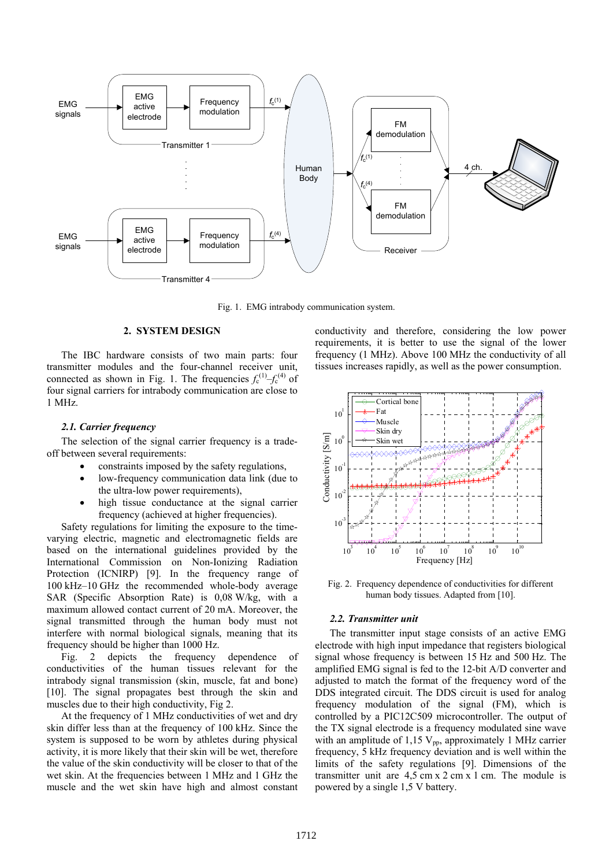

Fig. 1. EMG intrabody communication system.

# **2. SYSTEM DESIGN**

The IBC hardware consists of two main parts: four transmitter modules and the four-channel receiver unit, connected as shown in Fig. 1. The frequencies  $f_c^{(1)} - f_c^{(4)}$  of four signal carriers for intrabody communication are close to 1 MHz.

#### *2.1. Carrier frequency*

The selection of the signal carrier frequency is a tradeoff between several requirements:

- constraints imposed by the safety regulations,
- low-frequency communication data link (due to the ultra-low power requirements),
- high tissue conductance at the signal carrier frequency (achieved at higher frequencies).

Safety regulations for limiting the exposure to the timevarying electric, magnetic and electromagnetic fields are based on the international guidelines provided by the International Commission on Non-Ionizing Radiation Protection (ICNIRP) [9]. In the frequency range of 100 kHz–10 GHz the recommended whole-body average SAR (Specific Absorption Rate) is 0,08 W/kg, with a maximum allowed contact current of 20 mA. Moreover, the signal transmitted through the human body must not interfere with normal biological signals, meaning that its frequency should be higher than 1000 Hz.

Fig. 2 depicts the frequency dependence of conductivities of the human tissues relevant for the intrabody signal transmission (skin, muscle, fat and bone) [10]. The signal propagates best through the skin and muscles due to their high conductivity, Fig 2.

At the frequency of 1 MHz conductivities of wet and dry skin differ less than at the frequency of 100 kHz. Since the system is supposed to be worn by athletes during physical activity, it is more likely that their skin will be wet, therefore the value of the skin conductivity will be closer to that of the wet skin. At the frequencies between 1 MHz and 1 GHz the muscle and the wet skin have high and almost constant conductivity and therefore, considering the low power requirements, it is better to use the signal of the lower frequency (1 MHz). Above 100 MHz the conductivity of all tissues increases rapidly, as well as the power consumption.



Fig. 2. Frequency dependence of conductivities for different human body tissues. Adapted from [10].

## *2.2. Transmitter unit*

The transmitter input stage consists of an active EMG electrode with high input impedance that registers biological signal whose frequency is between 15 Hz and 500 Hz. The amplified EMG signal is fed to the 12-bit A/D converter and adjusted to match the format of the frequency word of the DDS integrated circuit. The DDS circuit is used for analog frequency modulation of the signal (FM), which is controlled by a PIC12C509 microcontroller. The output of the TX signal electrode is a frequency modulated sine wave with an amplitude of 1,15  $V_{\text{pp}}$ , approximately 1 MHz carrier frequency, 5 kHz frequency deviation and is well within the limits of the safety regulations [9]. Dimensions of the transmitter unit are 4,5 cm x 2 cm x 1 cm. The module is powered by a single 1,5 V battery.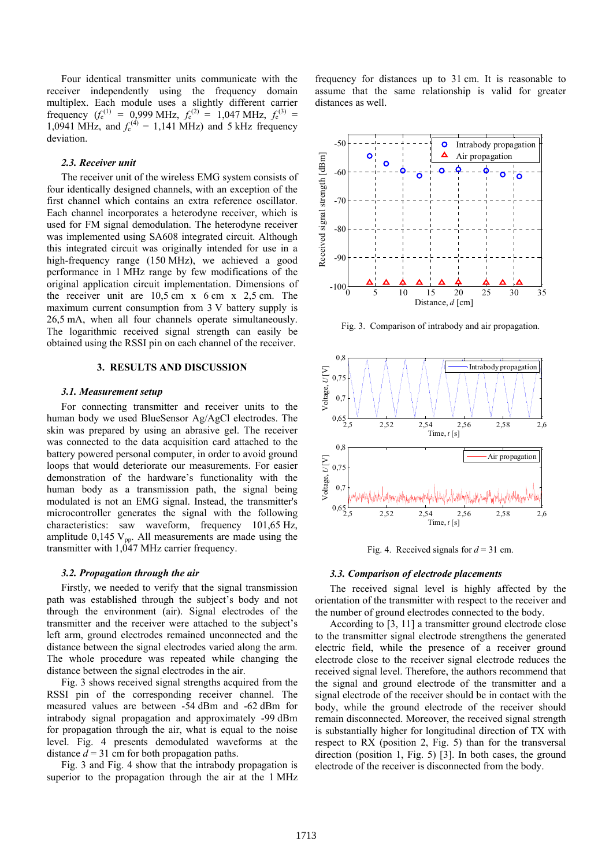Four identical transmitter units communicate with the receiver independently using the frequency domain multiplex. Each module uses a slightly different carrier frequency  $(f_c^{(1)} = 0.999 \text{ MHz}, f_c^{(2)} = 1.047 \text{ MHz}, f_c^{(3)} =$ 1,0941 MHz, and  $f_c^{(4)} = 1,141$  MHz) and 5 kHz frequency deviation.

## *2.3. Receiver unit*

The receiver unit of the wireless EMG system consists of four identically designed channels, with an exception of the first channel which contains an extra reference oscillator. Each channel incorporates a heterodyne receiver, which is used for FM signal demodulation. The heterodyne receiver was implemented using SA608 integrated circuit. Although this integrated circuit was originally intended for use in a high-frequency range (150 MHz), we achieved a good performance in 1 MHz range by few modifications of the original application circuit implementation. Dimensions of the receiver unit are  $10,5$  cm x  $6$  cm x  $2,5$  cm. The maximum current consumption from 3 V battery supply is 26,5 mA, when all four channels operate simultaneously. The logarithmic received signal strength can easily be obtained using the RSSI pin on each channel of the receiver.

# **3. RESULTS AND DISCUSSION**

#### *3.1. Measurement setup*

For connecting transmitter and receiver units to the human body we used BlueSensor Ag/AgCl electrodes. The skin was prepared by using an abrasive gel. The receiver was connected to the data acquisition card attached to the battery powered personal computer, in order to avoid ground loops that would deteriorate our measurements. For easier demonstration of the hardware's functionality with the human body as a transmission path, the signal being modulated is not an EMG signal. Instead, the transmitter's microcontroller generates the signal with the following characteristics: saw waveform, frequency 101,65 Hz, amplitude  $0,145$  V<sub>pp</sub>. All measurements are made using the transmitter with 1,047 MHz carrier frequency.

## *3.2. Propagation through the air*

Firstly, we needed to verify that the signal transmission path was established through the subject's body and not through the environment (air). Signal electrodes of the transmitter and the receiver were attached to the subject's left arm, ground electrodes remained unconnected and the distance between the signal electrodes varied along the arm. The whole procedure was repeated while changing the distance between the signal electrodes in the air.

Fig. 3 shows received signal strengths acquired from the RSSI pin of the corresponding receiver channel. The measured values are between -54 dBm and -62 dBm for intrabody signal propagation and approximately -99 dBm for propagation through the air, what is equal to the noise level. Fig. 4 presents demodulated waveforms at the distance  $d = 31$  cm for both propagation paths.

Fig. 3 and Fig. 4 show that the intrabody propagation is superior to the propagation through the air at the 1 MHz

frequency for distances up to 31 cm. It is reasonable to assume that the same relationship is valid for greater distances as well.



Fig. 3. Comparison of intrabody and air propagation.



Fig. 4. Received signals for  $d = 31$  cm.

## *3.3. Comparison of electrode placements*

The received signal level is highly affected by the orientation of the transmitter with respect to the receiver and the number of ground electrodes connected to the body.

According to [3, 11] a transmitter ground electrode close to the transmitter signal electrode strengthens the generated electric field, while the presence of a receiver ground electrode close to the receiver signal electrode reduces the received signal level. Therefore, the authors recommend that the signal and ground electrode of the transmitter and a signal electrode of the receiver should be in contact with the body, while the ground electrode of the receiver should remain disconnected. Moreover, the received signal strength is substantially higher for longitudinal direction of TX with respect to RX (position 2, Fig. 5) than for the transversal direction (position 1, Fig. 5) [3]. In both cases, the ground electrode of the receiver is disconnected from the body.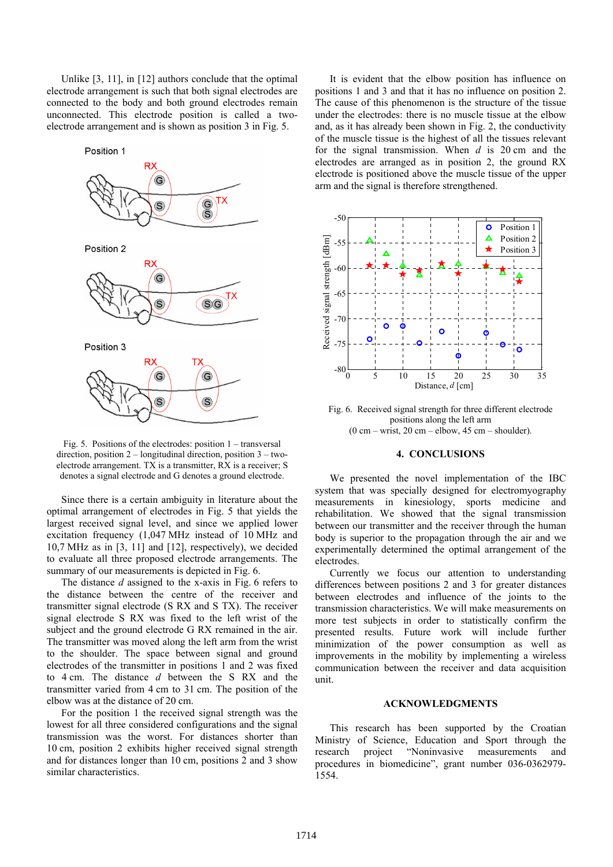Unlike [3, 11], in [12] authors conclude that the optimal electrode arrangement is such that both signal electrodes are connected to the body and both ground electrodes remain unconnected. This electrode position is called a twoelectrode arrangement and is shown as position 3 in Fig. 5.



Fig. 5. Positions of the electrodes: position 1 – transversal direction, position 2 – longitudinal direction, position 3 – twoelectrode arrangement. TX is a transmitter, RX is a receiver; S denotes a signal electrode and G denotes a ground electrode.

Since there is a certain ambiguity in literature about the optimal arrangement of electrodes in Fig. 5 that yields the largest received signal level, and since we applied lower excitation frequency (1,047 MHz instead of 10 MHz and 10,7 MHz as in [3, 11] and [12], respectively), we decided to evaluate all three proposed electrode arrangements. The summary of our measurements is depicted in Fig. 6.

The distance *d* assigned to the x-axis in Fig. 6 refers to the distance between the centre of the receiver and transmitter signal electrode (S RX and S TX). The receiver signal electrode S RX was fixed to the left wrist of the subject and the ground electrode G RX remained in the air. The transmitter was moved along the left arm from the wrist to the shoulder. The space between signal and ground electrodes of the transmitter in positions 1 and 2 was fixed to 4 cm. The distance *d* between the S RX and the transmitter varied from 4 cm to 31 cm. The position of the elbow was at the distance of 20 cm.

For the position 1 the received signal strength was the lowest for all three considered configurations and the signal transmission was the worst. For distances shorter than 10 cm, position 2 exhibits higher received signal strength and for distances longer than 10 cm, positions 2 and 3 show similar characteristics.

It is evident that the elbow position has influence on positions 1 and 3 and that it has no influence on position 2. The cause of this phenomenon is the structure of the tissue under the electrodes: there is no muscle tissue at the elbow and, as it has already been shown in Fig. 2, the conductivity of the muscle tissue is the highest of all the tissues relevant for the signal transmission. When *d* is 20 cm and the electrodes are arranged as in position 2, the ground RX electrode is positioned above the muscle tissue of the upper arm and the signal is therefore strengthened.



Fig. 6. Received signal strength for three different electrode positions along the left arm  $(0 \text{ cm} - \text{wrist}, 20 \text{ cm} - \text{elbow}, 45 \text{ cm} - \text{shoulder}).$ 

## **4. CONCLUSIONS**

We presented the novel implementation of the IBC system that was specially designed for electromyography measurements in kinesiology, sports medicine and rehabilitation. We showed that the signal transmission between our transmitter and the receiver through the human body is superior to the propagation through the air and we experimentally determined the optimal arrangement of the electrodes.

Currently we focus our attention to understanding differences between positions 2 and 3 for greater distances between electrodes and influence of the joints to the transmission characteristics. We will make measurements on more test subjects in order to statistically confirm the presented results. Future work will include further minimization of the power consumption as well as improvements in the mobility by implementing a wireless communication between the receiver and data acquisition unit.

## **ACKNOWLEDGMENTS**

This research has been supported by the Croatian Ministry of Science, Education and Sport through the research project "Noninvasive measurements and procedures in biomedicine", grant number 036-0362979- 1554.